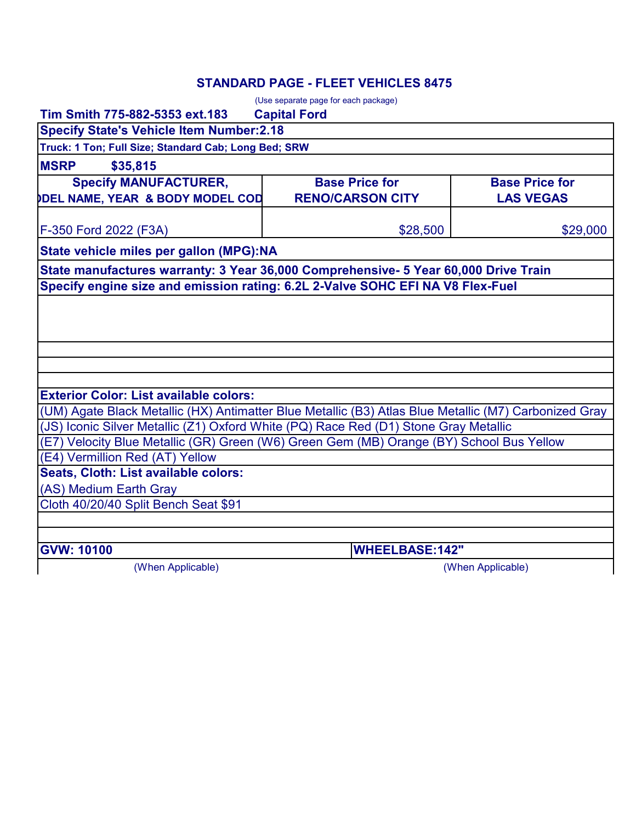## **STANDARD PAGE - FLEET VEHICLES 8475**

|                                                                                                       | (Use separate page for each package) |                       |  |
|-------------------------------------------------------------------------------------------------------|--------------------------------------|-----------------------|--|
| Tim Smith 775-882-5353 ext.183                                                                        | <b>Capital Ford</b>                  |                       |  |
| <b>Specify State's Vehicle Item Number:2.18</b>                                                       |                                      |                       |  |
| Truck: 1 Ton; Full Size; Standard Cab; Long Bed; SRW                                                  |                                      |                       |  |
| <b>MSRP</b><br>\$35,815                                                                               |                                      |                       |  |
| <b>Specify MANUFACTURER,</b>                                                                          | <b>Base Price for</b>                | <b>Base Price for</b> |  |
| DDEL NAME, YEAR & BODY MODEL COD                                                                      | <b>RENO/CARSON CITY</b>              | <b>LAS VEGAS</b>      |  |
| F-350 Ford 2022 (F3A)                                                                                 | \$28,500                             | \$29,000              |  |
| State vehicle miles per gallon (MPG):NA                                                               |                                      |                       |  |
| State manufactures warranty: 3 Year 36,000 Comprehensive- 5 Year 60,000 Drive Train                   |                                      |                       |  |
| Specify engine size and emission rating: 6.2L 2-Valve SOHC EFI NA V8 Flex-Fuel                        |                                      |                       |  |
|                                                                                                       |                                      |                       |  |
| <b>Exterior Color: List available colors:</b>                                                         |                                      |                       |  |
| (UM) Agate Black Metallic (HX) Antimatter Blue Metallic (B3) Atlas Blue Metallic (M7) Carbonized Gray |                                      |                       |  |
| (JS) Iconic Silver Metallic (Z1) Oxford White (PQ) Race Red (D1) Stone Gray Metallic                  |                                      |                       |  |
| (E7) Velocity Blue Metallic (GR) Green (W6) Green Gem (MB) Orange (BY) School Bus Yellow              |                                      |                       |  |
| (E4) Vermillion Red (AT) Yellow                                                                       |                                      |                       |  |
| Seats, Cloth: List available colors:                                                                  |                                      |                       |  |
| (AS) Medium Earth Gray                                                                                |                                      |                       |  |
| Cloth 40/20/40 Split Bench Seat \$91                                                                  |                                      |                       |  |
| <b>GVW: 10100</b>                                                                                     | <b>WHEELBASE:142"</b>                |                       |  |
| (When Applicable)                                                                                     |                                      | (When Applicable)     |  |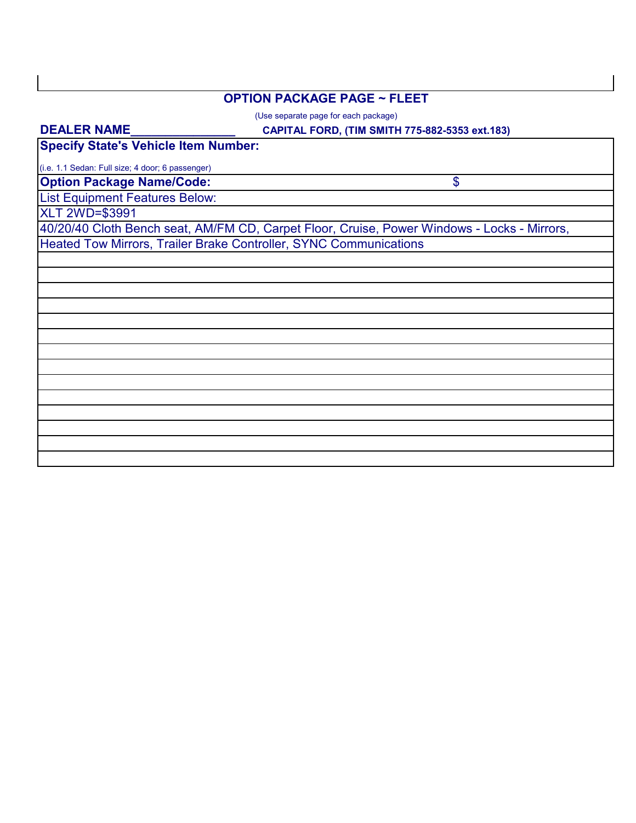### **OPTION PACKAGE PAGE ~ FLEET**

(Use separate page for each package)

#### **DEALER NAME\_\_\_\_\_\_\_\_\_\_\_\_\_\_\_**

### **CAPITAL FORD, (TIM SMITH 775-882-5353 ext.183)**

\$

**Specify State's Vehicle Item Number:**

**Option Package Name/Code:** (i.e. 1.1 Sedan: Full size; 4 door; 6 passenger)

List Equipment Features Below:

XLT 2WD=\$3991

40/20/40 Cloth Bench seat, AM/FM CD, Carpet Floor, Cruise, Power Windows - Locks - Mirrors,

Heated Tow Mirrors, Trailer Brake Controller, SYNC Communications